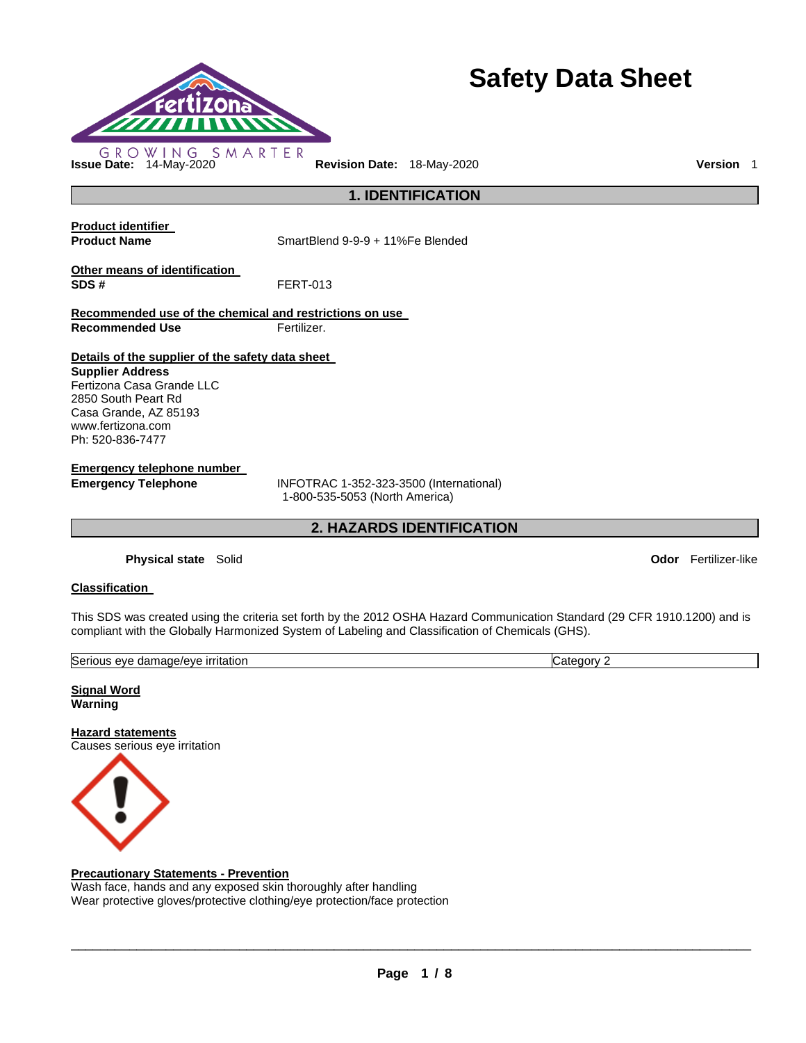

# **Safety Data Sheet**

**Issue Date:** 14-May-2020 **Revision Date:** 18-May-2020 **Version** 1

**Product identifier** 

**Product Name** SmartBlend 9-9-9 + 11%Fe Blended

**1. IDENTIFICATION** 

**Other means of identification SDS #** FERT-013

**Recommended use of the chemical and restrictions on use Recommended Use Fertilizer.** 

## **Details of the supplier of the safety data sheet**

**Supplier Address** Fertizona Casa Grande LLC 2850 South Peart Rd Casa Grande, AZ 85193 www.fertizona.com Ph: 520-836-7477

**Emergency telephone number** 

**Emergency Telephone** INFOTRAC 1-352-323-3500 (International) 1-800-535-5053 (North America)

**2. HAZARDS IDENTIFICATION** 

**Physical state** Solid **Odor** Fertilizer-like

## **Classification**

This SDS was created using the criteria set forth by the 2012 OSHA Hazard Communication Standard (29 CFR 1910.1200) and is compliant with the Globally Harmonized System of Labeling and Classification of Chemicals (GHS).

| Serious<br><u>ırrıtatıon</u><br>nade/et<br>/eve<br>dam<br>eve<br>$\cdots$<br>. | <br>eaor∿<br>.ate |
|--------------------------------------------------------------------------------|-------------------|
|                                                                                |                   |

**Signal Word Warning** 

**Hazard statements** Causes serious eye irritation



## **Precautionary Statements - Prevention**

Wash face, hands and any exposed skin thoroughly after handling Wear protective gloves/protective clothing/eye protection/face protection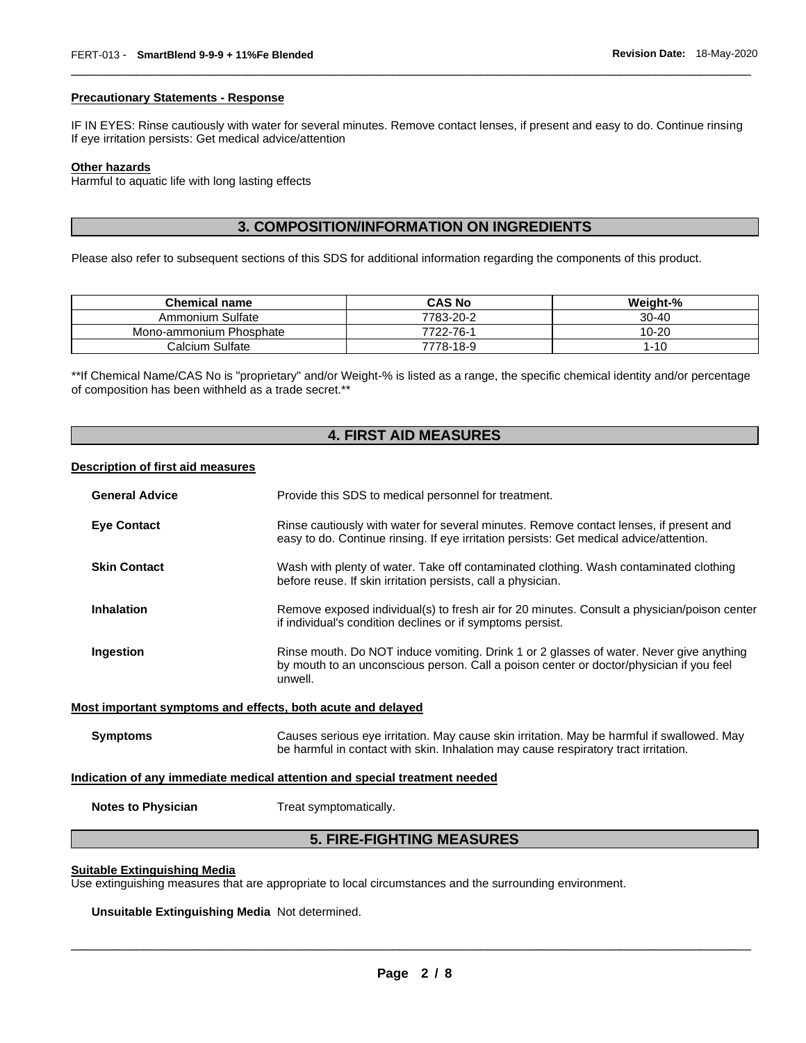#### **Precautionary Statements - Response**

IF IN EYES: Rinse cautiously with water for several minutes. Remove contact lenses, if present and easy to do. Continue rinsing If eye irritation persists: Get medical advice/attention

\_\_\_\_\_\_\_\_\_\_\_\_\_\_\_\_\_\_\_\_\_\_\_\_\_\_\_\_\_\_\_\_\_\_\_\_\_\_\_\_\_\_\_\_\_\_\_\_\_\_\_\_\_\_\_\_\_\_\_\_\_\_\_\_\_\_\_\_\_\_\_\_\_\_\_\_\_\_\_\_\_\_\_\_\_\_\_\_\_\_\_\_\_

## **Other hazards**

Harmful to aquatic life with long lasting effects

# **3. COMPOSITION/INFORMATION ON INGREDIENTS**

Please also refer to subsequent sections of this SDS for additional information regarding the components of this product.

| <b>Chemical name</b>    | <b>CAS No</b> | Weight-%  |
|-------------------------|---------------|-----------|
| Ammonium Sulfate        | 7783-20-2     | $30 - 40$ |
| Mono-ammonium Phosphate | 7722-76-1     | 10-20     |
| Calcium Sulfate         | 7778-18-9     | l-10      |

\*\*If Chemical Name/CAS No is "proprietary" and/or Weight-% is listed as a range, the specific chemical identity and/or percentage of composition has been withheld as a trade secret.\*\*

## **4. FIRST AID MEASURES**

### **Description of first aid measures**

| <b>General Advice</b>     | Provide this SDS to medical personnel for treatment.                                                                                                                                          |
|---------------------------|-----------------------------------------------------------------------------------------------------------------------------------------------------------------------------------------------|
| <b>Eye Contact</b>        | Rinse cautiously with water for several minutes. Remove contact lenses, if present and<br>easy to do. Continue rinsing. If eye irritation persists: Get medical advice/attention.             |
| <b>Skin Contact</b>       | Wash with plenty of water. Take off contaminated clothing. Wash contaminated clothing<br>before reuse. If skin irritation persists, call a physician.                                         |
| <b>Inhalation</b>         | Remove exposed individual(s) to fresh air for 20 minutes. Consult a physician/poison center<br>if individual's condition declines or if symptoms persist.                                     |
| Ingestion                 | Rinse mouth. Do NOT induce vomiting. Drink 1 or 2 glasses of water. Never give anything<br>by mouth to an unconscious person. Call a poison center or doctor/physician if you feel<br>unwell. |
|                           | Most important symptoms and effects, both acute and delayed                                                                                                                                   |
| <b>Symptoms</b>           | Causes serious eye irritation. May cause skin irritation. May be harmful if swallowed. May<br>be harmful in contact with skin. Inhalation may cause respiratory tract irritation.             |
|                           | <u>Indication of any immediate medical attention and special treatment needed</u>                                                                                                             |
| <b>Notes to Physician</b> | Treat symptomatically.                                                                                                                                                                        |

# **5. FIRE-FIGHTING MEASURES**

## **Suitable Extinguishing Media**

Use extinguishing measures that are appropriate to local circumstances and the surrounding environment.

**Unsuitable Extinguishing Media** Not determined.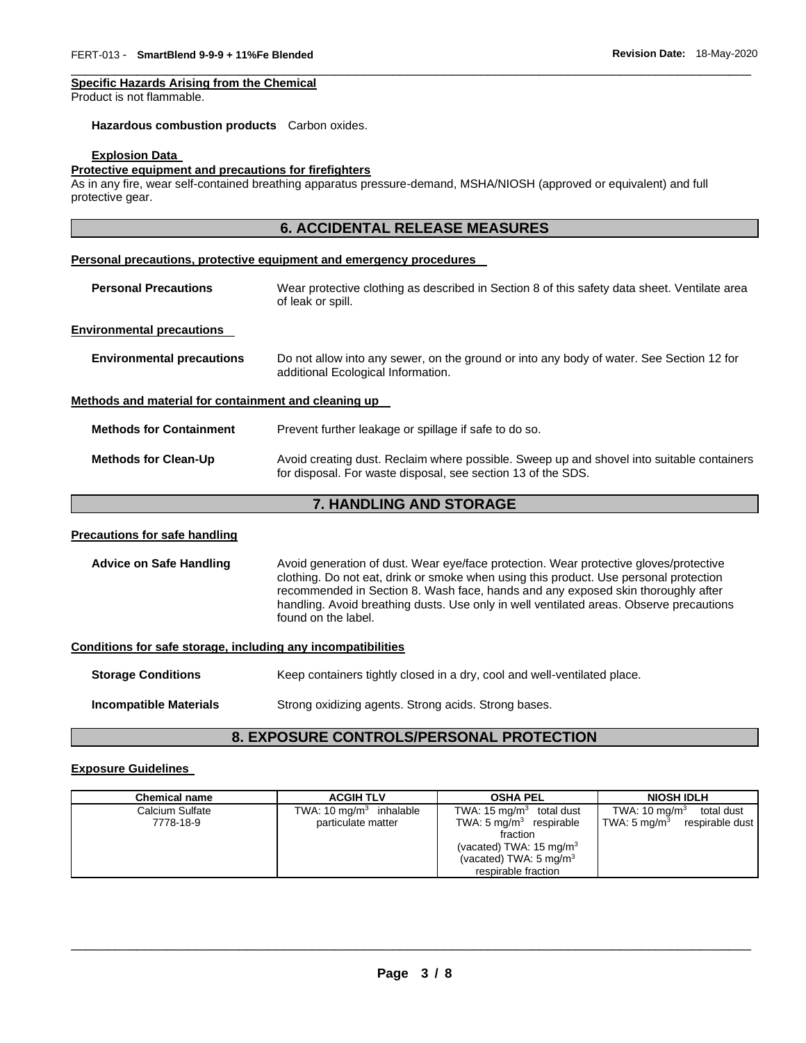#### **Specific Hazards Arising from the Chemical**

Product is not flammable.

**Hazardous combustion products** Carbon oxides.

### **Explosion Data**

## **Protective equipment and precautions for firefighters**

As in any fire, wear self-contained breathing apparatus pressure-demand, MSHA/NIOSH (approved or equivalent) and full protective gear.

## **6. ACCIDENTAL RELEASE MEASURES**

\_\_\_\_\_\_\_\_\_\_\_\_\_\_\_\_\_\_\_\_\_\_\_\_\_\_\_\_\_\_\_\_\_\_\_\_\_\_\_\_\_\_\_\_\_\_\_\_\_\_\_\_\_\_\_\_\_\_\_\_\_\_\_\_\_\_\_\_\_\_\_\_\_\_\_\_\_\_\_\_\_\_\_\_\_\_\_\_\_\_\_\_\_

## **Personal precautions, protective equipment and emergency procedures**

| <b>Personal Precautions</b>                          | Wear protective clothing as described in Section 8 of this safety data sheet. Ventilate area<br>of leak or spill.              |
|------------------------------------------------------|--------------------------------------------------------------------------------------------------------------------------------|
| <b>Environmental precautions</b>                     |                                                                                                                                |
| <b>Environmental precautions</b>                     | Do not allow into any sewer, on the ground or into any body of water. See Section 12 for<br>additional Ecological Information. |
| Methods and material for containment and cleaning up |                                                                                                                                |
| <b>Methods for Containment</b>                       | Prevent further leakage or spillage if safe to do so.                                                                          |
| <b>Methods for Clean-Up</b>                          | Avoid creating dust. Reclaim where possible. Sweep up and shovel into suitable containers                                      |

## **7. HANDLING AND STORAGE**

for disposal. For waste disposal, see section 13 of the SDS.

#### **Precautions for safe handling**

**Advice on Safe Handling** Avoid generation of dust. Wear eye/face protection. Wear protective gloves/protective clothing. Do not eat, drink or smoke when using this product. Use personal protection recommended in Section 8. Wash face, hands and any exposed skin thoroughly after handling. Avoid breathing dusts. Use only in well ventilated areas. Observe precautions found on the label.

#### **Conditions for safe storage, including any incompatibilities**

| <b>Storage Conditions</b>     | Keep containers tightly closed in a dry, cool and well-ventilated place. |
|-------------------------------|--------------------------------------------------------------------------|
| <b>Incompatible Materials</b> | Strong oxidizing agents. Strong acids. Strong bases.                     |

## **8. EXPOSURE CONTROLS/PERSONAL PROTECTION**

## **Exposure Guidelines**

| <b>Chemical name</b> | <b>ACGIH TLV</b>          | <b>OSHA PEL</b>                     | <b>NIOSH IDLH</b>                          |
|----------------------|---------------------------|-------------------------------------|--------------------------------------------|
| Calcium Sulfate      | TWA: 10 $mq/m3$ inhalable | TWA: $15 \text{ mg/m}^3$ total dust | TWA: $10 \text{ mg/m}^3$<br>total dust     |
| 7778-18-9            | particulate matter        | TWA: $5 \text{ mg/m}^3$ respirable  | TWA: $5 \text{ mg/m}^3$<br>respirable dust |
|                      |                           | fraction                            |                                            |
|                      |                           | (vacated) TWA: $15 \text{ mg/m}^3$  |                                            |
|                      |                           | (vacated) TWA: $5 \text{ mg/m}^3$   |                                            |
|                      |                           | respirable fraction                 |                                            |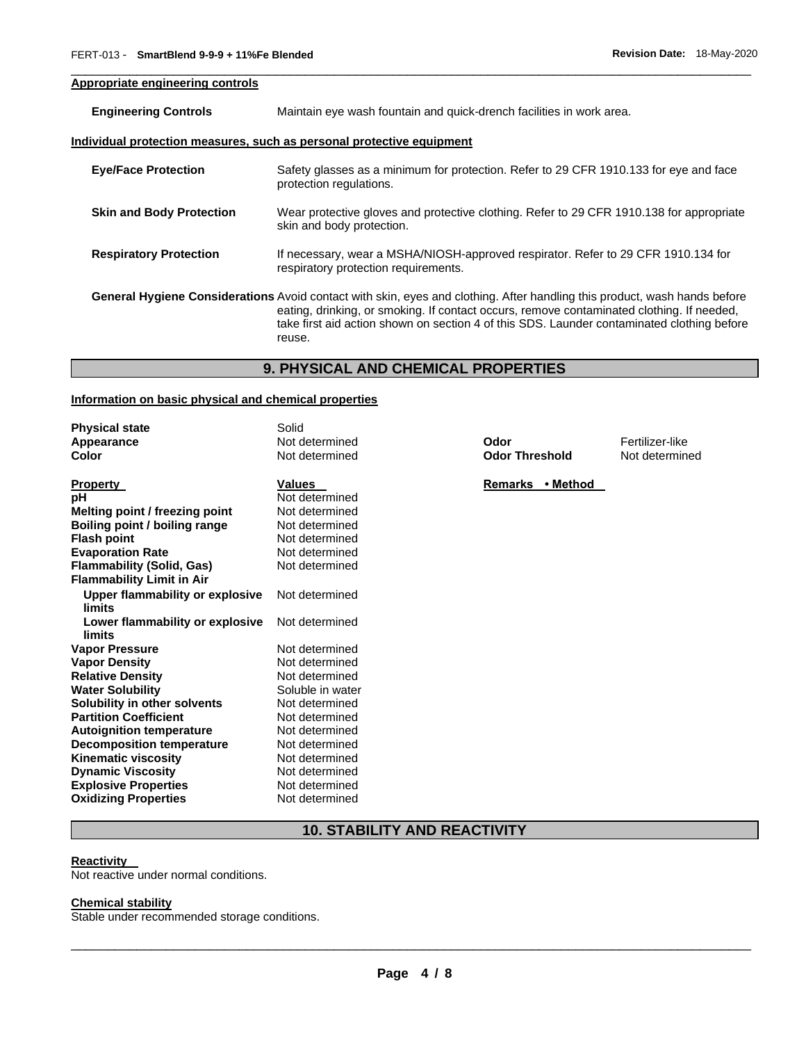# **Appropriate engineering controls**

**Engineering Controls** Maintain eye wash fountain and quick-drench facilities in work area.

\_\_\_\_\_\_\_\_\_\_\_\_\_\_\_\_\_\_\_\_\_\_\_\_\_\_\_\_\_\_\_\_\_\_\_\_\_\_\_\_\_\_\_\_\_\_\_\_\_\_\_\_\_\_\_\_\_\_\_\_\_\_\_\_\_\_\_\_\_\_\_\_\_\_\_\_\_\_\_\_\_\_\_\_\_\_\_\_\_\_\_\_\_

#### **Individual protection measures, such as personal protective equipment**

| <b>Eye/Face Protection</b>                                                                                                                                                                                                                                                                                                            | Safety glasses as a minimum for protection. Refer to 29 CFR 1910.133 for eye and face<br>protection regulations.          |  |  |
|---------------------------------------------------------------------------------------------------------------------------------------------------------------------------------------------------------------------------------------------------------------------------------------------------------------------------------------|---------------------------------------------------------------------------------------------------------------------------|--|--|
| <b>Skin and Body Protection</b>                                                                                                                                                                                                                                                                                                       | Wear protective gloves and protective clothing. Refer to 29 CFR 1910.138 for appropriate<br>skin and body protection.     |  |  |
| <b>Respiratory Protection</b>                                                                                                                                                                                                                                                                                                         | If necessary, wear a MSHA/NIOSH-approved respirator. Refer to 29 CFR 1910.134 for<br>respiratory protection requirements. |  |  |
| <b>General Hygiene Considerations</b> Avoid contact with skin, eyes and clothing. After handling this product, wash hands before<br>eating, drinking, or smoking. If contact occurs, remove contaminated clothing. If needed,<br>take first aid action shown on section 4 of this SDS. Launder contaminated clothing before<br>reuse. |                                                                                                                           |  |  |

## **9. PHYSICAL AND CHEMICAL PROPERTIES**

#### **Information on basic physical and chemical properties**

| <b>Physical state</b>            | Solid            |                       |                 |
|----------------------------------|------------------|-----------------------|-----------------|
| Appearance                       | Not determined   | Odor                  | Fertilizer-like |
| Color                            | Not determined   | <b>Odor Threshold</b> | Not determined  |
| <u>Property</u>                  | <b>Values</b>    | Remarks • Method      |                 |
| рH                               | Not determined   |                       |                 |
| Melting point / freezing point   | Not determined   |                       |                 |
| Boiling point / boiling range    | Not determined   |                       |                 |
| <b>Flash point</b>               | Not determined   |                       |                 |
| <b>Evaporation Rate</b>          | Not determined   |                       |                 |
| <b>Flammability (Solid, Gas)</b> | Not determined   |                       |                 |
| <b>Flammability Limit in Air</b> |                  |                       |                 |
| Upper flammability or explosive  | Not determined   |                       |                 |
| limits                           |                  |                       |                 |
| Lower flammability or explosive  | Not determined   |                       |                 |
| limits                           |                  |                       |                 |
| <b>Vapor Pressure</b>            | Not determined   |                       |                 |
| <b>Vapor Density</b>             | Not determined   |                       |                 |
| <b>Relative Density</b>          | Not determined   |                       |                 |
| <b>Water Solubility</b>          | Soluble in water |                       |                 |
| Solubility in other solvents     | Not determined   |                       |                 |
| <b>Partition Coefficient</b>     | Not determined   |                       |                 |
| <b>Autoignition temperature</b>  | Not determined   |                       |                 |
| <b>Decomposition temperature</b> | Not determined   |                       |                 |
| <b>Kinematic viscosity</b>       | Not determined   |                       |                 |
| <b>Dynamic Viscosity</b>         | Not determined   |                       |                 |
| <b>Explosive Properties</b>      | Not determined   |                       |                 |
| <b>Oxidizing Properties</b>      | Not determined   |                       |                 |

# **10. STABILITY AND REACTIVITY**

#### **Reactivity**

Not reactive under normal conditions.

## **Chemical stability**

Stable under recommended storage conditions.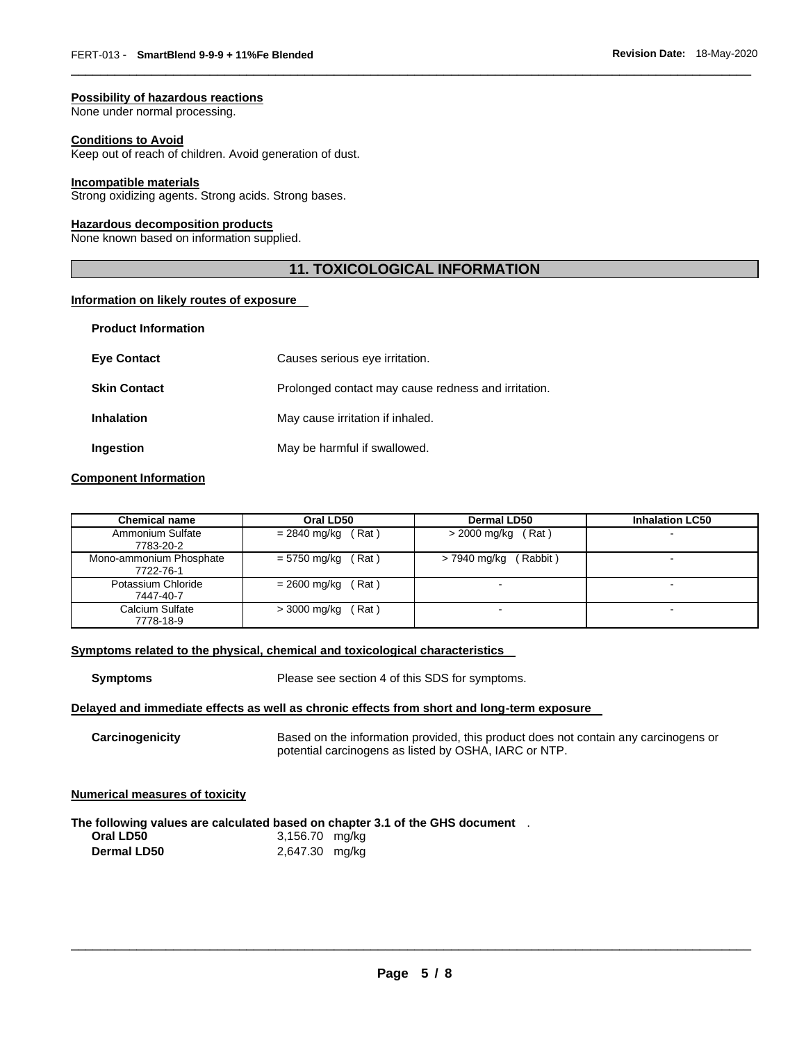#### **Possibility of hazardous reactions**

None under normal processing.

#### **Conditions to Avoid**

Keep out of reach of children. Avoid generation of dust.

#### **Incompatible materials**

Strong oxidizing agents. Strong acids. Strong bases.

#### **Hazardous decomposition products**

None known based on information supplied.

## **11. TOXICOLOGICAL INFORMATION**

\_\_\_\_\_\_\_\_\_\_\_\_\_\_\_\_\_\_\_\_\_\_\_\_\_\_\_\_\_\_\_\_\_\_\_\_\_\_\_\_\_\_\_\_\_\_\_\_\_\_\_\_\_\_\_\_\_\_\_\_\_\_\_\_\_\_\_\_\_\_\_\_\_\_\_\_\_\_\_\_\_\_\_\_\_\_\_\_\_\_\_\_\_

#### **Information on likely routes of exposure**

| <b>Product Information</b> |                                                     |
|----------------------------|-----------------------------------------------------|
| <b>Eye Contact</b>         | Causes serious eye irritation.                      |
| <b>Skin Contact</b>        | Prolonged contact may cause redness and irritation. |
| <b>Inhalation</b>          | May cause irritation if inhaled.                    |
| Ingestion                  | May be harmful if swallowed.                        |

## **Component Information**

| <b>Chemical name</b>                 | Oral LD50            | <b>Dermal LD50</b>       | <b>Inhalation LC50</b> |
|--------------------------------------|----------------------|--------------------------|------------------------|
| Ammonium Sulfate<br>7783-20-2        | Rat)<br>= 2840 mg/kg | $>$ 2000 mg/kg (Rat)     |                        |
| Mono-ammonium Phosphate<br>7722-76-1 | = 5750 mg/kg<br>Rat) | (Rabbit)<br>> 7940 mg/kg |                        |
| Potassium Chloride<br>7447-40-7      | Rat)<br>= 2600 mg/kg | $\overline{\phantom{a}}$ |                        |
| Calcium Sulfate<br>7778-18-9         | > 3000 mg/kg<br>Rat) |                          |                        |

#### **Symptoms related to the physical, chemical and toxicological characteristics**

**Symptoms** Please see section 4 of this SDS for symptoms.

## **Delayed and immediate effects as well as chronic effects from short and long-term exposure**

**Carcinogenicity** Based on the information provided, this product does not contain any carcinogens or potential carcinogens as listed by OSHA, IARC or NTP.

#### **Numerical measures of toxicity**

**The following values are calculated based on chapter 3.1 of the GHS document** .

| Oral LD50          | 3,156.70 mg/kg |  |
|--------------------|----------------|--|
| <b>Dermal LD50</b> | 2,647.30 mg/kg |  |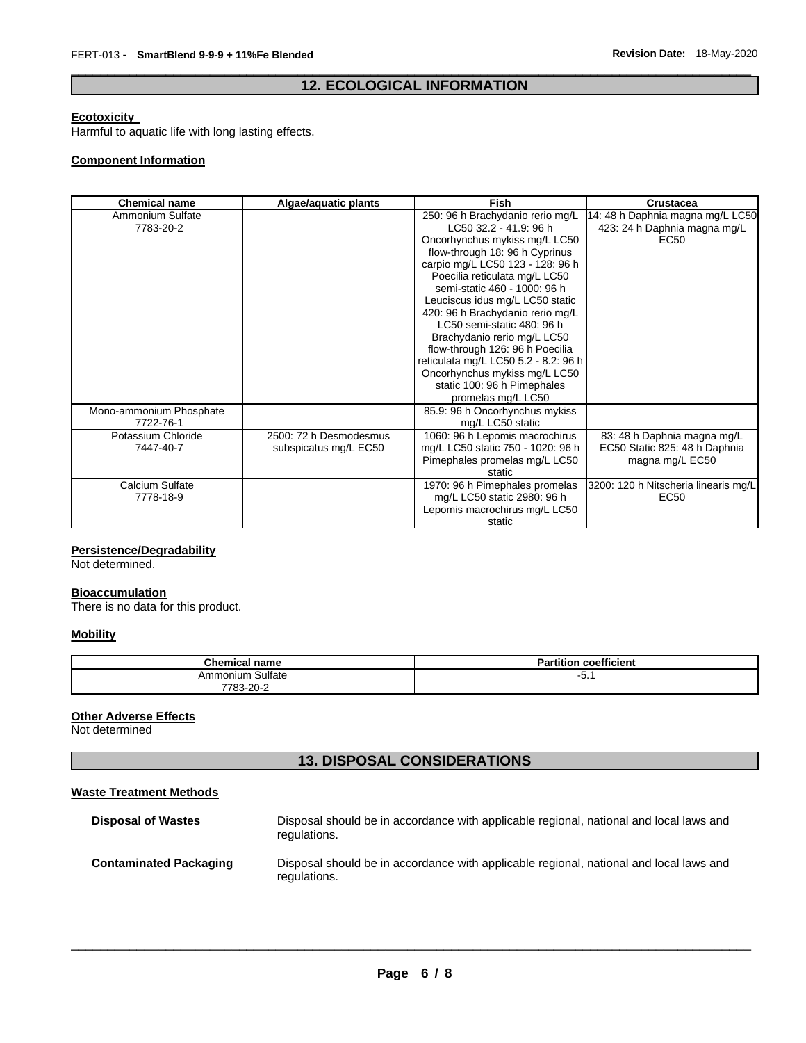## \_\_\_\_\_\_\_\_\_\_\_\_\_\_\_\_\_\_\_\_\_\_\_\_\_\_\_\_\_\_\_\_\_\_\_\_\_\_\_\_\_\_\_\_\_\_\_\_\_\_\_\_\_\_\_\_\_\_\_\_\_\_\_\_\_\_\_\_\_\_\_\_\_\_\_\_\_\_\_\_\_\_\_\_\_\_\_\_\_\_\_\_\_ **12. ECOLOGICAL INFORMATION**

## **Ecotoxicity**

Harmful to aquatic life with long lasting effects.

## **Component Information**

| <b>Chemical name</b>    | Algae/aquatic plants   | <b>Fish</b>                          | <b>Crustacea</b>                     |
|-------------------------|------------------------|--------------------------------------|--------------------------------------|
| Ammonium Sulfate        |                        | 250: 96 h Brachydanio rerio mg/L     | 14: 48 h Daphnia magna mg/L LC50     |
| 7783-20-2               |                        | LC50 32.2 - 41.9. 96 h               | 423: 24 h Daphnia magna mg/L         |
|                         |                        | Oncorhynchus mykiss mg/L LC50        | EC50                                 |
|                         |                        | flow-through 18: 96 h Cyprinus       |                                      |
|                         |                        | carpio mg/L LC50 123 - 128: 96 h     |                                      |
|                         |                        | Poecilia reticulata mg/L LC50        |                                      |
|                         |                        | semi-static 460 - 1000: 96 h         |                                      |
|                         |                        | Leuciscus idus mg/L LC50 static      |                                      |
|                         |                        | 420: 96 h Brachydanio rerio mg/L     |                                      |
|                         |                        | LC50 semi-static 480: 96 h           |                                      |
|                         |                        | Brachydanio rerio mg/L LC50          |                                      |
|                         |                        | flow-through 126: 96 h Poecilia      |                                      |
|                         |                        | reticulata mg/L LC50 5.2 - 8.2: 96 h |                                      |
|                         |                        | Oncorhynchus mykiss mg/L LC50        |                                      |
|                         |                        | static 100: 96 h Pimephales          |                                      |
|                         |                        | promelas mg/L LC50                   |                                      |
| Mono-ammonium Phosphate |                        | 85.9: 96 h Oncorhynchus mykiss       |                                      |
| 7722-76-1               |                        | mg/L LC50 static                     |                                      |
| Potassium Chloride      | 2500: 72 h Desmodesmus | 1060: 96 h Lepomis macrochirus       | 83: 48 h Daphnia magna mg/L          |
| 7447-40-7               | subspicatus mg/L EC50  | mg/L LC50 static 750 - 1020: 96 h    | EC50 Static 825: 48 h Daphnia        |
|                         |                        | Pimephales promelas mg/L LC50        | magna mg/L EC50                      |
|                         |                        | static                               |                                      |
| Calcium Sulfate         |                        | 1970: 96 h Pimephales promelas       | 3200: 120 h Nitscheria linearis mg/L |
| 7778-18-9               |                        | mg/L LC50 static 2980: 96 h          | EC <sub>50</sub>                     |
|                         |                        | Lepomis macrochirus mg/L LC50        |                                      |
|                         |                        | static                               |                                      |

## **Persistence/Degradability**

Not determined.

## **Bioaccumulation**

There is no data for this product.

## **Mobility**

| <b>Chemical name</b> | <b>Partition coefficient</b> |
|----------------------|------------------------------|
| Ammonium Sulfate     | - J. I                       |
| 7783-20-2            |                              |

## **Other Adverse Effects**

Not determined

# **13. DISPOSAL CONSIDERATIONS**

## **Waste Treatment Methods**

| <b>Disposal of Wastes</b>     | Disposal should be in accordance with applicable regional, national and local laws and<br>regulations. |
|-------------------------------|--------------------------------------------------------------------------------------------------------|
| <b>Contaminated Packaging</b> | Disposal should be in accordance with applicable regional, national and local laws and<br>regulations. |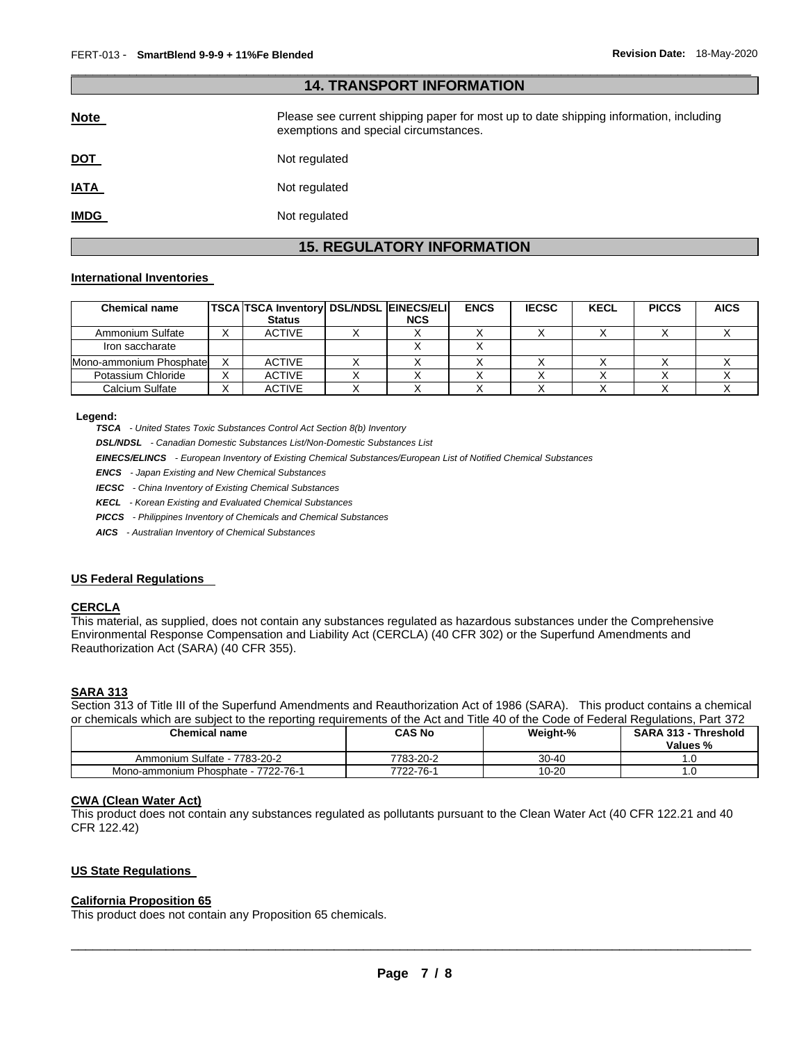| <b>14. TRANSPORT INFORMATION</b> |                                                                                                                                |  |  |  |
|----------------------------------|--------------------------------------------------------------------------------------------------------------------------------|--|--|--|
| <b>Note</b>                      | Please see current shipping paper for most up to date shipping information, including<br>exemptions and special circumstances. |  |  |  |
| <u>DOT</u>                       | Not regulated                                                                                                                  |  |  |  |
| <b>IATA</b>                      | Not regulated                                                                                                                  |  |  |  |
| <b>IMDG</b>                      | Not regulated                                                                                                                  |  |  |  |

\_\_\_\_\_\_\_\_\_\_\_\_\_\_\_\_\_\_\_\_\_\_\_\_\_\_\_\_\_\_\_\_\_\_\_\_\_\_\_\_\_\_\_\_\_\_\_\_\_\_\_\_\_\_\_\_\_\_\_\_\_\_\_\_\_\_\_\_\_\_\_\_\_\_\_\_\_\_\_\_\_\_\_\_\_\_\_\_\_\_\_\_\_

# **15. REGULATORY INFORMATION**

### **International Inventories**

| <b>Chemical name</b>     |   | <b>TSCA TSCA Inventory DSL/NDSL EINECS/ELI</b><br><b>Status</b> | <b>NCS</b> | <b>ENCS</b> | <b>IECSC</b> | <b>KECL</b> | <b>PICCS</b> | <b>AICS</b> |
|--------------------------|---|-----------------------------------------------------------------|------------|-------------|--------------|-------------|--------------|-------------|
|                          |   |                                                                 |            |             |              |             |              |             |
| Ammonium Sulfate         |   | ACTIVE                                                          |            |             |              |             |              |             |
| Iron saccharate          |   |                                                                 |            |             |              |             |              |             |
| Mono-ammonium Phosphatel |   | <b>ACTIVE</b>                                                   |            |             |              |             |              |             |
| Potassium Chloride       | ⌒ | <b>ACTIVE</b>                                                   |            |             |              |             |              |             |
| Calcium Sulfate          |   | <b>ACTIVE</b>                                                   |            |             |              |             |              |             |

#### **Legend:**

*TSCA - United States Toxic Substances Control Act Section 8(b) Inventory* 

*DSL/NDSL - Canadian Domestic Substances List/Non-Domestic Substances List* 

*EINECS/ELINCS - European Inventory of Existing Chemical Substances/European List of Notified Chemical Substances* 

*ENCS - Japan Existing and New Chemical Substances* 

*IECSC - China Inventory of Existing Chemical Substances* 

*KECL - Korean Existing and Evaluated Chemical Substances* 

*PICCS - Philippines Inventory of Chemicals and Chemical Substances* 

*AICS - Australian Inventory of Chemical Substances* 

## **US Federal Regulations**

#### **CERCLA**

This material, as supplied, does not contain any substances regulated as hazardous substances under the Comprehensive Environmental Response Compensation and Liability Act (CERCLA) (40 CFR 302) or the Superfund Amendments and Reauthorization Act (SARA) (40 CFR 355).

## **SARA 313**

Section 313 of Title III of the Superfund Amendments and Reauthorization Act of 1986 (SARA). This product contains a chemical or chemicals which are subject to the reporting requirements of the Act and Title 40 of the Code of Federal Regulations, Part 372

| <b>Chemical name</b>                | CAS No    | Weight-%  | <b>SARA 313 - Threshold</b><br>Values % |
|-------------------------------------|-----------|-----------|-----------------------------------------|
| Ammonium Sulfate - 7783-20-2        | 7783-20-2 | $30 - 40$ | .u                                      |
| Mono-ammonium Phosphate - 7722-76-1 | 7722-76-1 | $10 - 20$ |                                         |

## **CWA (Clean Water Act)**

This product does not contain any substances regulated as pollutants pursuant to the Clean Water Act (40 CFR 122.21 and 40 CFR 122.42)

## **US State Regulations**

## **California Proposition 65**

This product does not contain any Proposition 65 chemicals.